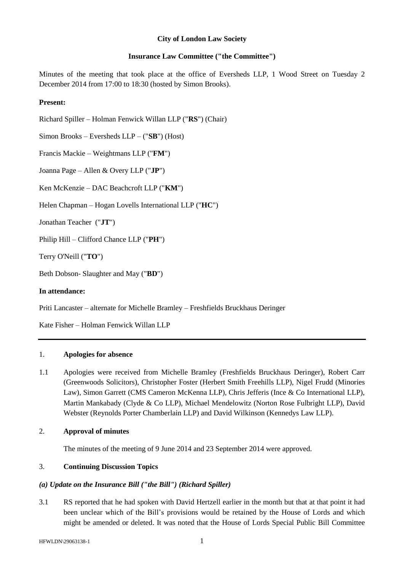### **City of London Law Society**

### **Insurance Law Committee ("the Committee")**

Minutes of the meeting that took place at the office of Eversheds LLP, 1 Wood Street on Tuesday 2 December 2014 from 17:00 to 18:30 (hosted by Simon Brooks).

## **Present:**

Richard Spiller – Holman Fenwick Willan LLP ("**RS**") (Chair)

Simon Brooks – Eversheds LLP – ("**SB**") (Host)

Francis Mackie – Weightmans LLP ("**FM**")

Joanna Page – Allen & Overy LLP ("**JP**")

Ken McKenzie – DAC Beachcroft LLP ("**KM**")

Helen Chapman – Hogan Lovells International LLP ("**HC**")

Jonathan Teacher ("**JT**")

Philip Hill – Clifford Chance LLP ("**PH**")

Terry O'Neill ("**TO**")

Beth Dobson- Slaughter and May ("**BD**")

## **In attendance:**

Priti Lancaster – alternate for Michelle Bramley – Freshfields Bruckhaus Deringer

Kate Fisher – Holman Fenwick Willan LLP

## 1. **Apologies for absence**

- 1.1 Apologies were received from Michelle Bramley (Freshfields Bruckhaus Deringer), Robert Carr (Greenwoods Solicitors), Christopher Foster (Herbert Smith Freehills LLP), Nigel Frudd (Minories Law), Simon Garrett (CMS Cameron McKenna LLP), Chris Jefferis (Ince & Co International LLP), Martin Mankabady (Clyde & Co LLP), Michael Mendelowitz (Norton Rose Fulbright LLP), David Webster (Reynolds Porter Chamberlain LLP) and David Wilkinson (Kennedys Law LLP).
- 2. **Approval of minutes**

The minutes of the meeting of 9 June 2014 and 23 September 2014 were approved.

## 3. **Continuing Discussion Topics**

## *(a) Update on the Insurance Bill ("the Bill") (Richard Spiller)*

3.1 RS reported that he had spoken with David Hertzell earlier in the month but that at that point it had been unclear which of the Bill's provisions would be retained by the House of Lords and which might be amended or deleted. It was noted that the House of Lords Special Public Bill Committee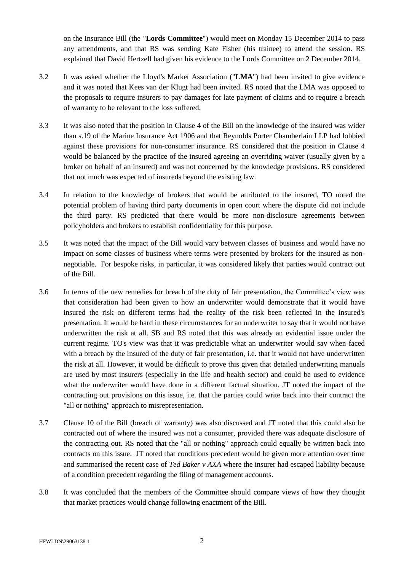on the Insurance Bill (the "**Lords Committee**") would meet on Monday 15 December 2014 to pass any amendments, and that RS was sending Kate Fisher (his trainee) to attend the session. RS explained that David Hertzell had given his evidence to the Lords Committee on 2 December 2014.

- 3.2 It was asked whether the Lloyd's Market Association ("**LMA**") had been invited to give evidence and it was noted that Kees van der Klugt had been invited. RS noted that the LMA was opposed to the proposals to require insurers to pay damages for late payment of claims and to require a breach of warranty to be relevant to the loss suffered.
- 3.3 It was also noted that the position in Clause 4 of the Bill on the knowledge of the insured was wider than s.19 of the Marine Insurance Act 1906 and that Reynolds Porter Chamberlain LLP had lobbied against these provisions for non-consumer insurance. RS considered that the position in Clause 4 would be balanced by the practice of the insured agreeing an overriding waiver (usually given by a broker on behalf of an insured) and was not concerned by the knowledge provisions. RS considered that not much was expected of insureds beyond the existing law.
- 3.4 In relation to the knowledge of brokers that would be attributed to the insured, TO noted the potential problem of having third party documents in open court where the dispute did not include the third party. RS predicted that there would be more non-disclosure agreements between policyholders and brokers to establish confidentiality for this purpose.
- 3.5 It was noted that the impact of the Bill would vary between classes of business and would have no impact on some classes of business where terms were presented by brokers for the insured as nonnegotiable. For bespoke risks, in particular, it was considered likely that parties would contract out of the Bill.
- 3.6 In terms of the new remedies for breach of the duty of fair presentation, the Committee's view was that consideration had been given to how an underwriter would demonstrate that it would have insured the risk on different terms had the reality of the risk been reflected in the insured's presentation. It would be hard in these circumstances for an underwriter to say that it would not have underwritten the risk at all. SB and RS noted that this was already an evidential issue under the current regime. TO's view was that it was predictable what an underwriter would say when faced with a breach by the insured of the duty of fair presentation, i.e. that it would not have underwritten the risk at all. However, it would be difficult to prove this given that detailed underwriting manuals are used by most insurers (especially in the life and health sector) and could be used to evidence what the underwriter would have done in a different factual situation. JT noted the impact of the contracting out provisions on this issue, i.e. that the parties could write back into their contract the "all or nothing" approach to misrepresentation.
- 3.7 Clause 10 of the Bill (breach of warranty) was also discussed and JT noted that this could also be contracted out of where the insured was not a consumer, provided there was adequate disclosure of the contracting out. RS noted that the "all or nothing" approach could equally be written back into contracts on this issue. JT noted that conditions precedent would be given more attention over time and summarised the recent case of *Ted Baker v AXA* where the insurer had escaped liability because of a condition precedent regarding the filing of management accounts.
- 3.8 It was concluded that the members of the Committee should compare views of how they thought that market practices would change following enactment of the Bill.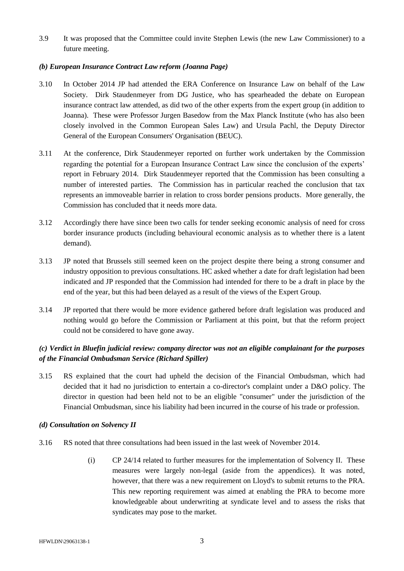3.9 It was proposed that the Committee could invite Stephen Lewis (the new Law Commissioner) to a future meeting.

### *(b) European Insurance Contract Law reform (Joanna Page)*

- 3.10 In October 2014 JP had attended the ERA Conference on Insurance Law on behalf of the Law Society. Dirk Staudenmeyer from DG Justice, who has spearheaded the debate on European insurance contract law attended, as did two of the other experts from the expert group (in addition to Joanna). These were Professor Jurgen Basedow from the Max Planck Institute (who has also been closely involved in the Common European Sales Law) and Ursula Pachl, the Deputy Director General of the European Consumers' Organisation (BEUC).
- 3.11 At the conference, Dirk Staudenmeyer reported on further work undertaken by the Commission regarding the potential for a European Insurance Contract Law since the conclusion of the experts' report in February 2014. Dirk Staudenmeyer reported that the Commission has been consulting a number of interested parties. The Commission has in particular reached the conclusion that tax represents an immoveable barrier in relation to cross border pensions products. More generally, the Commission has concluded that it needs more data.
- 3.12 Accordingly there have since been two calls for tender seeking economic analysis of need for cross border insurance products (including behavioural economic analysis as to whether there is a latent demand).
- 3.13 JP noted that Brussels still seemed keen on the project despite there being a strong consumer and industry opposition to previous consultations. HC asked whether a date for draft legislation had been indicated and JP responded that the Commission had intended for there to be a draft in place by the end of the year, but this had been delayed as a result of the views of the Expert Group.
- 3.14 JP reported that there would be more evidence gathered before draft legislation was produced and nothing would go before the Commission or Parliament at this point, but that the reform project could not be considered to have gone away.

# *(c) Verdict in Bluefin judicial review: company director was not an eligible complainant for the purposes of the Financial Ombudsman Service (Richard Spiller)*

3.15 RS explained that the court had upheld the decision of the Financial Ombudsman, which had decided that it had no jurisdiction to entertain a co-director's complaint under a D&O policy. The director in question had been held not to be an eligible "consumer" under the jurisdiction of the Financial Ombudsman, since his liability had been incurred in the course of his trade or profession.

#### *(d) Consultation on Solvency II*

- 3.16 RS noted that three consultations had been issued in the last week of November 2014.
	- (i) CP 24/14 related to further measures for the implementation of Solvency II. These measures were largely non-legal (aside from the appendices). It was noted, however, that there was a new requirement on Lloyd's to submit returns to the PRA. This new reporting requirement was aimed at enabling the PRA to become more knowledgeable about underwriting at syndicate level and to assess the risks that syndicates may pose to the market.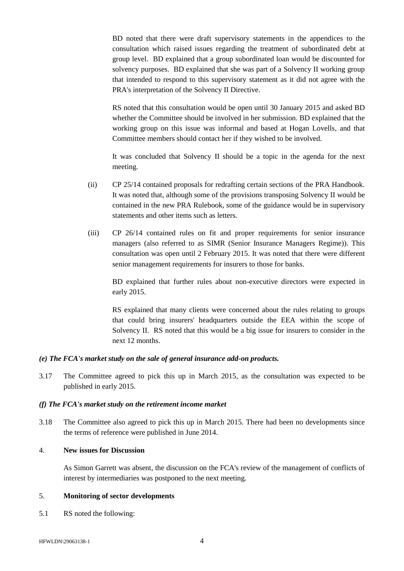BD noted that there were draft supervisory statements in the appendices to the consultation which raised issues regarding the treatment of subordinated debt at group level. BD explained that a group subordinated loan would be discounted for solvency purposes. BD explained that she was part of a Solvency II working group that intended to respond to this supervisory statement as it did not agree with the PRA's interpretation of the Solvency II Directive.

RS noted that this consultation would be open until 30 January 2015 and asked BD whether the Committee should be involved in her submission. BD explained that the working group on this issue was informal and based at Hogan Lovells, and that Committee members should contact her if they wished to be involved.

It was concluded that Solvency II should be a topic in the agenda for the next meeting.

- (ii) CP 25/14 contained proposals for redrafting certain sections of the PRA Handbook. It was noted that, although some of the provisions transposing Solvency II would be contained in the new PRA Rulebook, some of the guidance would be in supervisory statements and other items such as letters.
- (iii) CP 26/14 contained rules on fit and proper requirements for senior insurance managers (also referred to as SIMR (Senior Insurance Managers Regime)). This consultation was open until 2 February 2015. It was noted that there were different senior management requirements for insurers to those for banks.

BD explained that further rules about non-executive directors were expected in early 2015.

RS explained that many clients were concerned about the rules relating to groups that could bring insurers' headquarters outside the EEA within the scope of Solvency II. RS noted that this would be a big issue for insurers to consider in the next 12 months.

#### *(e) The FCA's market study on the sale of general insurance add-on products.*

3.17 The Committee agreed to pick this up in March 2015, as the consultation was expected to be published in early 2015.

#### *(f) The FCA's market study on the retirement income market*

3.18 The Committee also agreed to pick this up in March 2015. There had been no developments since the terms of reference were published in June 2014.

#### 4. **New issues for Discussion**

As Simon Garrett was absent, the discussion on the FCA's review of the management of conflicts of interest by intermediaries was postponed to the next meeting.

#### 5. **Monitoring of sector developments**

5.1 RS noted the following: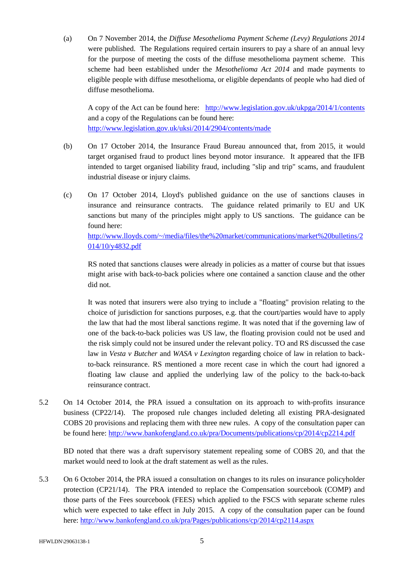(a) On 7 November 2014, the *Diffuse Mesothelioma Payment Scheme (Levy) Regulations 2014* were published. The Regulations required certain insurers to pay a share of an annual levy for the purpose of meeting the costs of the diffuse mesothelioma payment scheme. This scheme had been established under the *Mesothelioma Act 2014* and made payments to eligible people with diffuse mesothelioma, or eligible dependants of people who had died of diffuse mesothelioma.

A copy of the Act can be found here: <http://www.legislation.gov.uk/ukpga/2014/1/contents> and a copy of the Regulations can be found here: <http://www.legislation.gov.uk/uksi/2014/2904/contents/made>

- (b) On 17 October 2014, the Insurance Fraud Bureau announced that, from 2015, it would target organised fraud to product lines beyond motor insurance. It appeared that the IFB intended to target organised liability fraud, including "slip and trip" scams, and fraudulent industrial disease or injury claims.
- (c) On 17 October 2014, Lloyd's published guidance on the use of sanctions clauses in insurance and reinsurance contracts. The guidance related primarily to EU and UK sanctions but many of the principles might apply to US sanctions. The guidance can be found here:

[http://www.lloyds.com/~/media/files/the%20market/communications/market%20bulletins/2](http://www.lloyds.com/~/media/files/the%20market/communications/market%20bulletins/2014/10/y4832.pdf) [014/10/y4832.pdf](http://www.lloyds.com/~/media/files/the%20market/communications/market%20bulletins/2014/10/y4832.pdf)

RS noted that sanctions clauses were already in policies as a matter of course but that issues might arise with back-to-back policies where one contained a sanction clause and the other did not.

It was noted that insurers were also trying to include a "floating" provision relating to the choice of jurisdiction for sanctions purposes, e.g. that the court/parties would have to apply the law that had the most liberal sanctions regime. It was noted that if the governing law of one of the back-to-back policies was US law, the floating provision could not be used and the risk simply could not be insured under the relevant policy. TO and RS discussed the case law in *Vesta v Butcher* and *WASA v Lexington* regarding choice of law in relation to backto-back reinsurance. RS mentioned a more recent case in which the court had ignored a floating law clause and applied the underlying law of the policy to the back-to-back reinsurance contract.

5.2 On 14 October 2014, the PRA issued a consultation on its approach to with-profits insurance business (CP22/14). The proposed rule changes included deleting all existing PRA-designated COBS 20 provisions and replacing them with three new rules. A copy of the consultation paper can be found here:<http://www.bankofengland.co.uk/pra/Documents/publications/cp/2014/cp2214.pdf>

BD noted that there was a draft supervisory statement repealing some of COBS 20, and that the market would need to look at the draft statement as well as the rules.

5.3 On 6 October 2014, the PRA issued a consultation on changes to its rules on insurance policyholder protection (CP21/14). The PRA intended to replace the Compensation sourcebook (COMP) and those parts of the Fees sourcebook (FEES) which applied to the FSCS with separate scheme rules which were expected to take effect in July 2015. A copy of the consultation paper can be found here:<http://www.bankofengland.co.uk/pra/Pages/publications/cp/2014/cp2114.aspx>